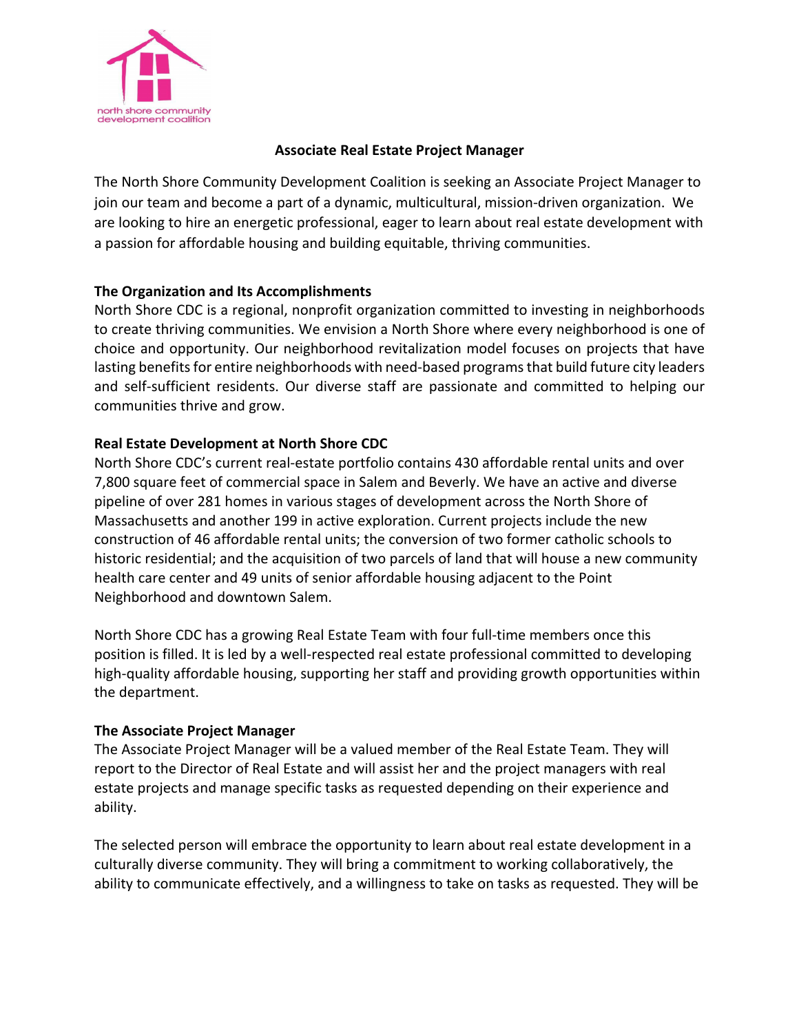

## **Associate Real Estate Project Manager**

The North Shore Community Development Coalition is seeking an Associate Project Manager to join our team and become a part of a dynamic, multicultural, mission-driven organization. We are looking to hire an energetic professional, eager to learn about real estate development with a passion for affordable housing and building equitable, thriving communities.

## **The Organization and Its Accomplishments**

North Shore CDC is a regional, nonprofit organization committed to investing in neighborhoods to create thriving communities. We envision a North Shore where every neighborhood is one of choice and opportunity. Our neighborhood revitalization model focuses on projects that have lasting benefits for entire neighborhoods with need-based programs that build future city leaders and self-sufficient residents. Our diverse staff are passionate and committed to helping our communities thrive and grow.

## **Real Estate Development at North Shore CDC**

North Shore CDC's current real-estate portfolio contains 430 affordable rental units and over 7,800 square feet of commercial space in Salem and Beverly. We have an active and diverse pipeline of over 281 homes in various stages of development across the North Shore of Massachusetts and another 199 in active exploration. Current projects include the new construction of 46 affordable rental units; the conversion of two former catholic schools to historic residential; and the acquisition of two parcels of land that will house a new community health care center and 49 units of senior affordable housing adjacent to the Point Neighborhood and downtown Salem.

North Shore CDC has a growing Real Estate Team with four full-time members once this position is filled. It is led by a well-respected real estate professional committed to developing high-quality affordable housing, supporting her staff and providing growth opportunities within the department.

#### **The Associate Project Manager**

The Associate Project Manager will be a valued member of the Real Estate Team. They will report to the Director of Real Estate and will assist her and the project managers with real estate projects and manage specific tasks as requested depending on their experience and ability.

The selected person will embrace the opportunity to learn about real estate development in a culturally diverse community. They will bring a commitment to working collaboratively, the ability to communicate effectively, and a willingness to take on tasks as requested. They will be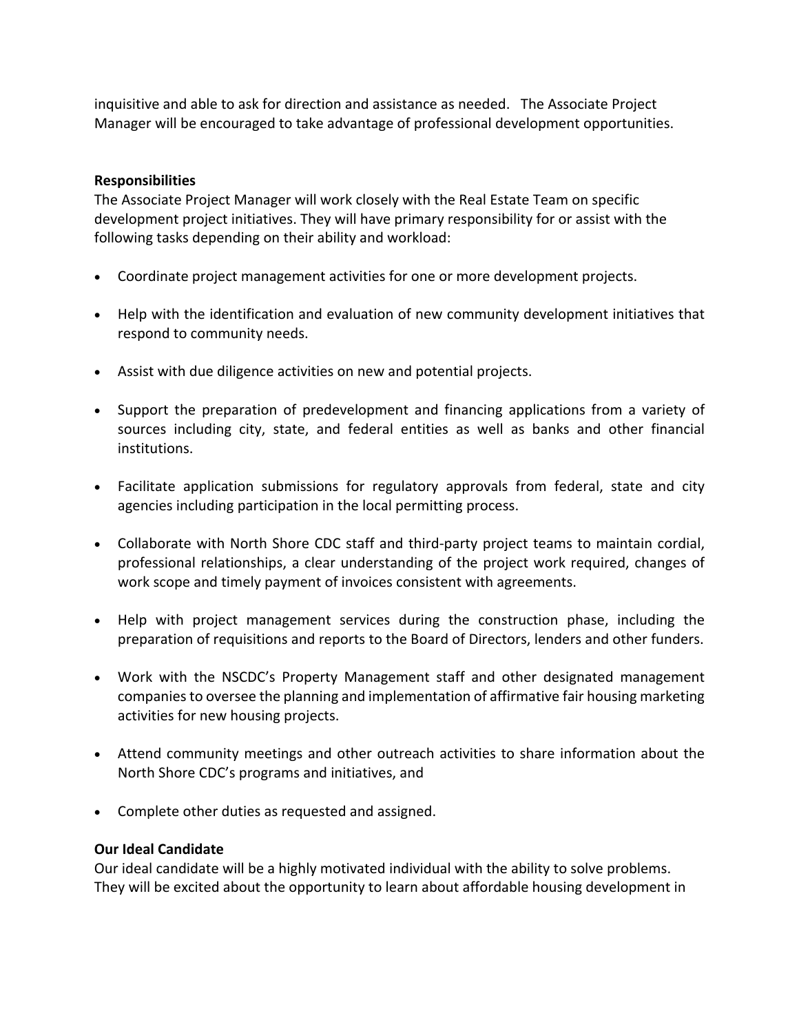inquisitive and able to ask for direction and assistance as needed. The Associate Project Manager will be encouraged to take advantage of professional development opportunities.

## **Responsibilities**

The Associate Project Manager will work closely with the Real Estate Team on specific development project initiatives. They will have primary responsibility for or assist with the following tasks depending on their ability and workload:

- Coordinate project management activities for one or more development projects.
- Help with the identification and evaluation of new community development initiatives that respond to community needs.
- Assist with due diligence activities on new and potential projects.
- Support the preparation of predevelopment and financing applications from a variety of sources including city, state, and federal entities as well as banks and other financial institutions.
- Facilitate application submissions for regulatory approvals from federal, state and city agencies including participation in the local permitting process.
- Collaborate with North Shore CDC staff and third-party project teams to maintain cordial, professional relationships, a clear understanding of the project work required, changes of work scope and timely payment of invoices consistent with agreements.
- Help with project management services during the construction phase, including the preparation of requisitions and reports to the Board of Directors, lenders and other funders.
- Work with the NSCDC's Property Management staff and other designated management companies to oversee the planning and implementation of affirmative fair housing marketing activities for new housing projects.
- Attend community meetings and other outreach activities to share information about the North Shore CDC's programs and initiatives, and
- Complete other duties as requested and assigned.

## **Our Ideal Candidate**

Our ideal candidate will be a highly motivated individual with the ability to solve problems. They will be excited about the opportunity to learn about affordable housing development in